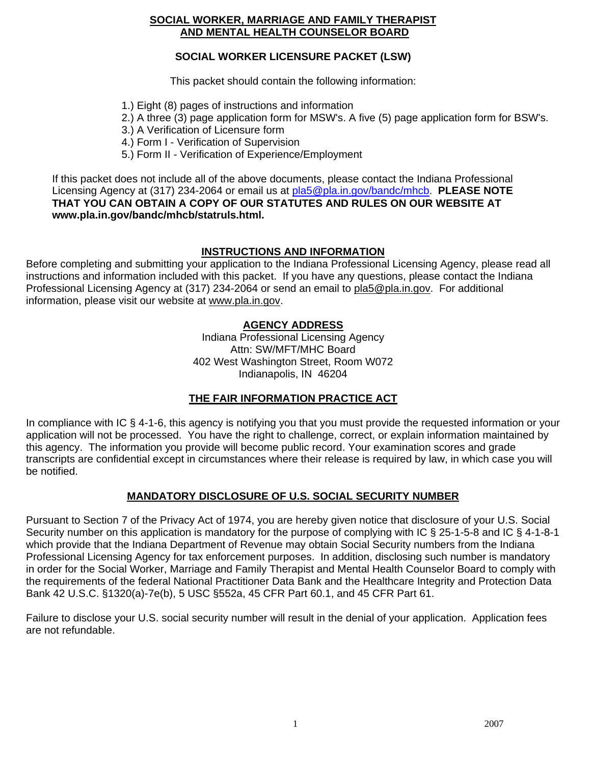## **SOCIAL WORKER, MARRIAGE AND FAMILY THERAPIST AND MENTAL HEALTH COUNSELOR BOARD**

# **SOCIAL WORKER LICENSURE PACKET (LSW)**

This packet should contain the following information:

1.) Eight (8) pages of instructions and information

2.) A three (3) page application form for MSW's. A five (5) page application form for BSW's.

- 3.) A Verification of Licensure form
- 4.) Form I Verification of Supervision
- 5.) Form II Verification of Experience/Employment

If this packet does not include all of the above documents, please contact the Indiana Professional Licensing Agency at (317) 234-2064 or email us at [pla5@pla.in.gov/bandc/mhcb.](mailto:pla5@pla.in.gov/bandc/mhcb) **PLEASE NOTE THAT YOU CAN OBTAIN A COPY OF OUR STATUTES AND RULES ON OUR WEBSITE AT www.pla.in.gov/bandc/mhcb/statruls.html.**

# **INSTRUCTIONS AND INFORMATION**

Before completing and submitting your application to the Indiana Professional Licensing Agency, please read all instructions and information included with this packet. If you have any questions, please contact the Indiana Professional Licensing Agency at (317) 234-2064 or send an email to pla5@pla.in.gov. For additional information, please visit our website at www.pla.in.gov.

# **AGENCY ADDRESS**

Indiana Professional Licensing Agency Attn: SW/MFT/MHC Board 402 West Washington Street, Room W072 Indianapolis, IN 46204

# **THE FAIR INFORMATION PRACTICE ACT**

In compliance with IC § 4-1-6, this agency is notifying you that you must provide the requested information or your application will not be processed. You have the right to challenge, correct, or explain information maintained by this agency. The information you provide will become public record. Your examination scores and grade transcripts are confidential except in circumstances where their release is required by law, in which case you will be notified.

# **MANDATORY DISCLOSURE OF U.S. SOCIAL SECURITY NUMBER**

Pursuant to Section 7 of the Privacy Act of 1974, you are hereby given notice that disclosure of your U.S. Social Security number on this application is mandatory for the purpose of complying with IC § 25-1-5-8 and IC § 4-1-8-1 which provide that the Indiana Department of Revenue may obtain Social Security numbers from the Indiana Professional Licensing Agency for tax enforcement purposes. In addition, disclosing such number is mandatory in order for the Social Worker, Marriage and Family Therapist and Mental Health Counselor Board to comply with the requirements of the federal National Practitioner Data Bank and the Healthcare Integrity and Protection Data Bank 42 U.S.C. §1320(a)-7e(b), 5 USC §552a, 45 CFR Part 60.1, and 45 CFR Part 61.

Failure to disclose your U.S. social security number will result in the denial of your application. Application fees are not refundable.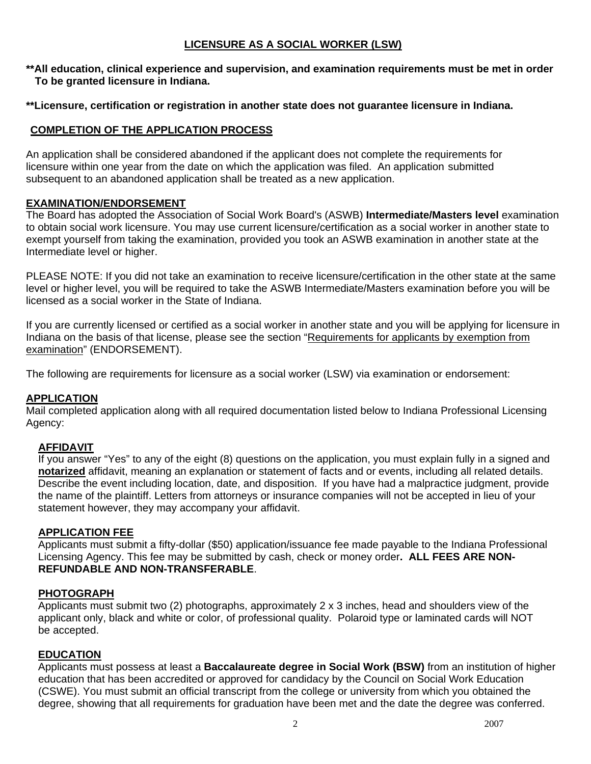# **LICENSURE AS A SOCIAL WORKER (LSW)**

**\*\*All education, clinical experience and supervision, and examination requirements must be met in order To be granted licensure in Indiana.** 

**\*\*Licensure, certification or registration in another state does not guarantee licensure in Indiana.** 

# **COMPLETION OF THE APPLICATION PROCESS**

An application shall be considered abandoned if the applicant does not complete the requirements for licensure within one year from the date on which the application was filed. An application submitted subsequent to an abandoned application shall be treated as a new application.

## **EXAMINATION/ENDORSEMENT**

The Board has adopted the Association of Social Work Board's (ASWB) **Intermediate/Masters level** examination to obtain social work licensure. You may use current licensure/certification as a social worker in another state to exempt yourself from taking the examination, provided you took an ASWB examination in another state at the Intermediate level or higher.

PLEASE NOTE: If you did not take an examination to receive licensure/certification in the other state at the same level or higher level, you will be required to take the ASWB Intermediate/Masters examination before you will be licensed as a social worker in the State of Indiana.

If you are currently licensed or certified as a social worker in another state and you will be applying for licensure in Indiana on the basis of that license, please see the section "Requirements for applicants by exemption from examination" (ENDORSEMENT).

The following are requirements for licensure as a social worker (LSW) via examination or endorsement:

## **APPLICATION**

Mail completed application along with all required documentation listed below to Indiana Professional Licensing Agency:

## **AFFIDAVIT**

If you answer "Yes" to any of the eight (8) questions on the application, you must explain fully in a signed and **notarized** affidavit, meaning an explanation or statement of facts and or events, including all related details. Describe the event including location, date, and disposition. If you have had a malpractice judgment, provide the name of the plaintiff. Letters from attorneys or insurance companies will not be accepted in lieu of your statement however, they may accompany your affidavit.

#### **APPLICATION FEE**

Applicants must submit a fifty-dollar (\$50) application/issuance fee made payable to the Indiana Professional Licensing Agency. This fee may be submitted by cash, check or money order**. ALL FEES ARE NON-REFUNDABLE AND NON-TRANSFERABLE**.

## **PHOTOGRAPH**

Applicants must submit two (2) photographs, approximately 2 x 3 inches, head and shoulders view of the applicant only, black and white or color, of professional quality. Polaroid type or laminated cards will NOT be accepted.

## **EDUCATION**

Applicants must possess at least a **Baccalaureate degree in Social Work (BSW)** from an institution of higher education that has been accredited or approved for candidacy by the Council on Social Work Education (CSWE). You must submit an official transcript from the college or university from which you obtained the degree, showing that all requirements for graduation have been met and the date the degree was conferred.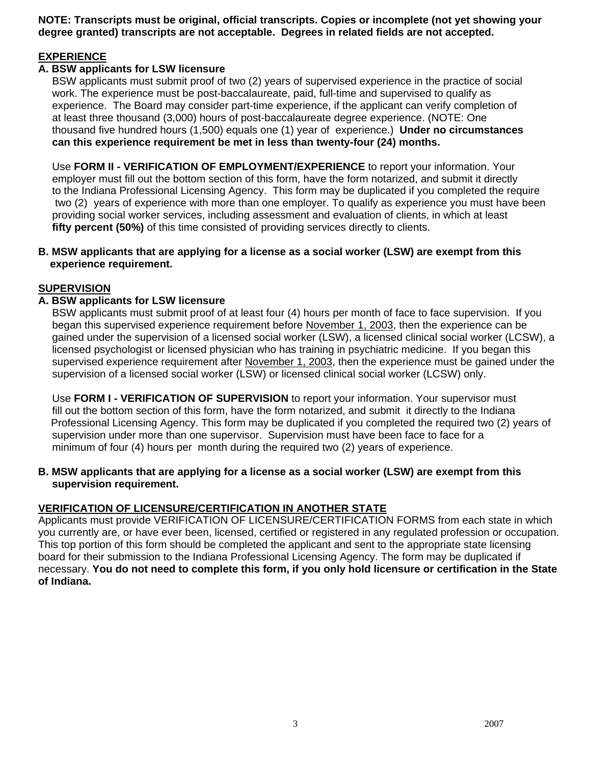**NOTE: Transcripts must be original, official transcripts. Copies or incomplete (not yet showing your degree granted) transcripts are not acceptable. Degrees in related fields are not accepted.** 

# **EXPERIENCE**

## **A. BSW applicants for LSW licensure**

 BSW applicants must submit proof of two (2) years of supervised experience in the practice of social work. The experience must be post-baccalaureate, paid, full-time and supervised to qualify as experience. The Board may consider part-time experience, if the applicant can verify completion of at least three thousand (3,000) hours of post-baccalaureate degree experience. (NOTE: One thousand five hundred hours (1,500) equals one (1) year of experience.) **Under no circumstances can this experience requirement be met in less than twenty-four (24) months.** 

 Use **FORM II - VERIFICATION OF EMPLOYMENT/EXPERIENCE** to report your information. Your employer must fill out the bottom section of this form, have the form notarized, and submit it directly to the Indiana Professional Licensing Agency. This form may be duplicated if you completed the require two (2) years of experience with more than one employer. To qualify as experience you must have been providing social worker services, including assessment and evaluation of clients, in which at least **fifty percent (50%)** of this time consisted of providing services directly to clients.

### **B. MSW applicants that are applying for a license as a social worker (LSW) are exempt from this experience requirement.**

### **SUPERVISION**

### **A. BSW applicants for LSW licensure**

BSW applicants must submit proof of at least four (4) hours per month of face to face supervision. If you began this supervised experience requirement before November 1, 2003, then the experience can be gained under the supervision of a licensed social worker (LSW), a licensed clinical social worker (LCSW), a licensed psychologist or licensed physician who has training in psychiatric medicine. If you began this supervised experience requirement after November 1, 2003, then the experience must be gained under the supervision of a licensed social worker (LSW) or licensed clinical social worker (LCSW) only.

 Use **FORM I - VERIFICATION OF SUPERVISION** to report your information. Your supervisor must fill out the bottom section of this form, have the form notarized, and submit it directly to the Indiana Professional Licensing Agency. This form may be duplicated if you completed the required two (2) years of supervision under more than one supervisor. Supervision must have been face to face for a minimum of four (4) hours per month during the required two (2) years of experience.

**B. MSW applicants that are applying for a license as a social worker (LSW) are exempt from this supervision requirement.** 

#### **VERIFICATION OF LICENSURE/CERTIFICATION IN ANOTHER STATE**

Applicants must provide VERIFICATION OF LICENSURE/CERTIFICATION FORMS from each state in which you currently are, or have ever been, licensed, certified or registered in any regulated profession or occupation. This top portion of this form should be completed the applicant and sent to the appropriate state licensing board for their submission to the Indiana Professional Licensing Agency. The form may be duplicated if necessary. **You do not need to complete this form, if you only hold licensure or certification in the State of Indiana.**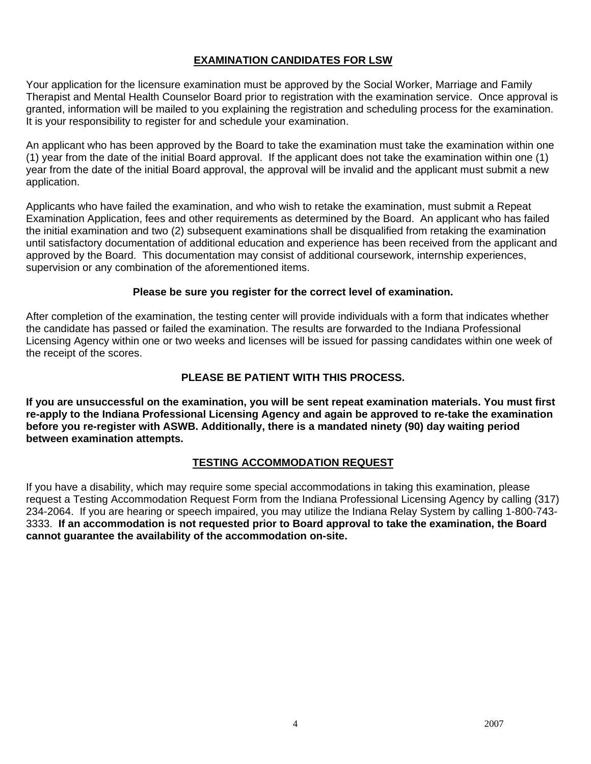# **EXAMINATION CANDIDATES FOR LSW**

Your application for the licensure examination must be approved by the Social Worker, Marriage and Family Therapist and Mental Health Counselor Board prior to registration with the examination service. Once approval is granted, information will be mailed to you explaining the registration and scheduling process for the examination. It is your responsibility to register for and schedule your examination.

An applicant who has been approved by the Board to take the examination must take the examination within one (1) year from the date of the initial Board approval. If the applicant does not take the examination within one (1) year from the date of the initial Board approval, the approval will be invalid and the applicant must submit a new application.

Applicants who have failed the examination, and who wish to retake the examination, must submit a Repeat Examination Application, fees and other requirements as determined by the Board. An applicant who has failed the initial examination and two (2) subsequent examinations shall be disqualified from retaking the examination until satisfactory documentation of additional education and experience has been received from the applicant and approved by the Board. This documentation may consist of additional coursework, internship experiences, supervision or any combination of the aforementioned items.

# **Please be sure you register for the correct level of examination.**

After completion of the examination, the testing center will provide individuals with a form that indicates whether the candidate has passed or failed the examination. The results are forwarded to the Indiana Professional Licensing Agency within one or two weeks and licenses will be issued for passing candidates within one week of the receipt of the scores.

# **PLEASE BE PATIENT WITH THIS PROCESS.**

**If you are unsuccessful on the examination, you will be sent repeat examination materials. You must first re-apply to the Indiana Professional Licensing Agency and again be approved to re-take the examination before you re-register with ASWB. Additionally, there is a mandated ninety (90) day waiting period between examination attempts.** 

## **TESTING ACCOMMODATION REQUEST**

If you have a disability, which may require some special accommodations in taking this examination, please request a Testing Accommodation Request Form from the Indiana Professional Licensing Agency by calling (317) 234-2064. If you are hearing or speech impaired, you may utilize the Indiana Relay System by calling 1-800-743- 3333. **If an accommodation is not requested prior to Board approval to take the examination, the Board cannot guarantee the availability of the accommodation on-site.**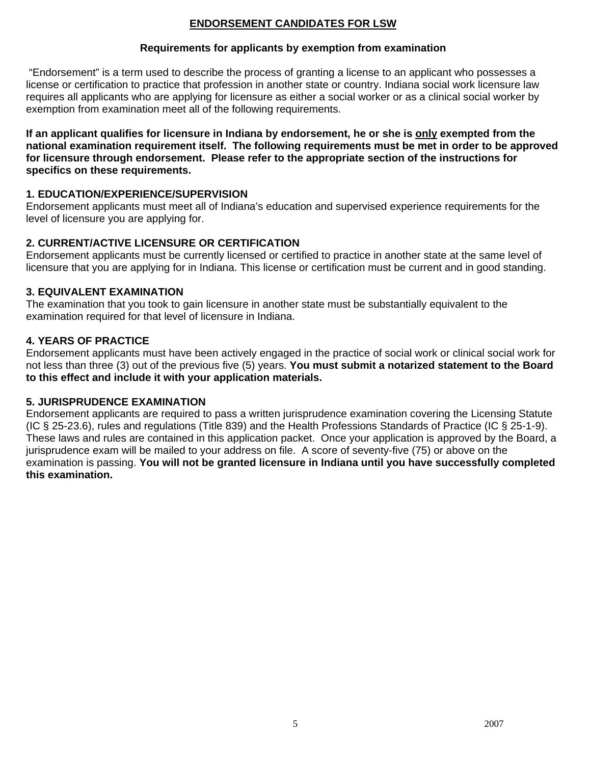# **ENDORSEMENT CANDIDATES FOR LSW**

## **Requirements for applicants by exemption from examination**

 "Endorsement" is a term used to describe the process of granting a license to an applicant who possesses a license or certification to practice that profession in another state or country. Indiana social work licensure law requires all applicants who are applying for licensure as either a social worker or as a clinical social worker by exemption from examination meet all of the following requirements.

**If an applicant qualifies for licensure in Indiana by endorsement, he or she is only exempted from the national examination requirement itself. The following requirements must be met in order to be approved for licensure through endorsement. Please refer to the appropriate section of the instructions for specifics on these requirements.** 

# **1. EDUCATION/EXPERIENCE/SUPERVISION**

Endorsement applicants must meet all of Indiana's education and supervised experience requirements for the level of licensure you are applying for.

# **2. CURRENT/ACTIVE LICENSURE OR CERTIFICATION**

Endorsement applicants must be currently licensed or certified to practice in another state at the same level of licensure that you are applying for in Indiana. This license or certification must be current and in good standing.

## **3. EQUIVALENT EXAMINATION**

The examination that you took to gain licensure in another state must be substantially equivalent to the examination required for that level of licensure in Indiana.

# **4. YEARS OF PRACTICE**

Endorsement applicants must have been actively engaged in the practice of social work or clinical social work for not less than three (3) out of the previous five (5) years. **You must submit a notarized statement to the Board to this effect and include it with your application materials.** 

## **5. JURISPRUDENCE EXAMINATION**

Endorsement applicants are required to pass a written jurisprudence examination covering the Licensing Statute (IC § 25-23.6), rules and regulations (Title 839) and the Health Professions Standards of Practice (IC § 25-1-9). These laws and rules are contained in this application packet. Once your application is approved by the Board, a jurisprudence exam will be mailed to your address on file. A score of seventy-five (75) or above on the examination is passing. **You will not be granted licensure in Indiana until you have successfully completed this examination.**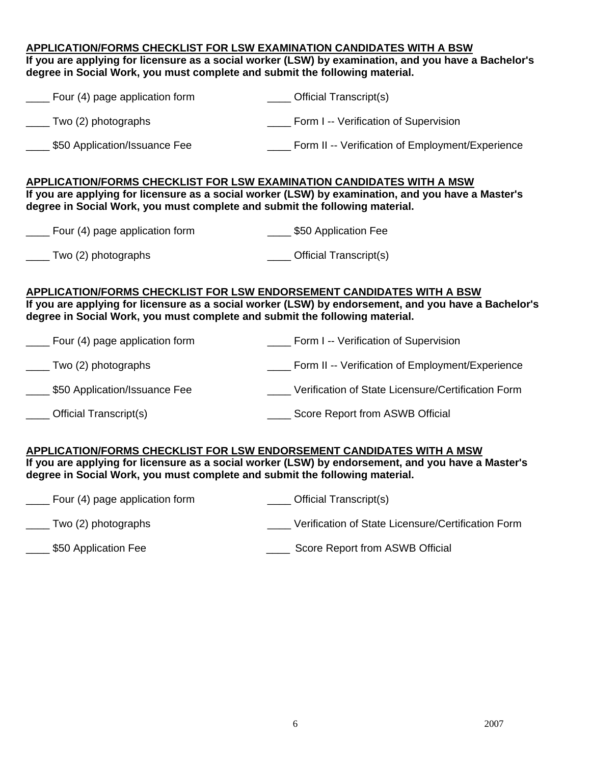| APPLICATION/FORMS CHECKLIST FOR LSW EXAMINATION CANDIDATES WITH A BSW<br>If you are applying for licensure as a social worker (LSW) by examination, and you have a Bachelor's<br>degree in Social Work, you must complete and submit the following material. |                                                                  |  |
|--------------------------------------------------------------------------------------------------------------------------------------------------------------------------------------------------------------------------------------------------------------|------------------------------------------------------------------|--|
| __ Four (4) page application form                                                                                                                                                                                                                            | _____ Official Transcript(s)                                     |  |
| ___ Two (2) photographs                                                                                                                                                                                                                                      | <b>Example:</b> Form I -- Verification of Supervision            |  |
| 550 Application/Issuance Fee                                                                                                                                                                                                                                 | Form II -- Verification of Employment/Experience                 |  |
| APPLICATION/FORMS CHECKLIST FOR LSW EXAMINATION CANDIDATES WITH A MSW<br>If you are applying for licensure as a social worker (LSW) by examination, and you have a Master's<br>degree in Social Work, you must complete and submit the following material.   |                                                                  |  |
| Four (4) page application form                                                                                                                                                                                                                               | 550 Application Fee                                              |  |
| $\equiv$ Two (2) photographs                                                                                                                                                                                                                                 | <b>Official Transcript(s)</b>                                    |  |
| APPLICATION/FORMS CHECKLIST FOR LSW ENDORSEMENT CANDIDATES WITH A BSW<br>If you are applying for licensure as a social worker (LSW) by endorsement, and you have a Bachelor's<br>degree in Social Work, you must complete and submit the following material. |                                                                  |  |
| $\equiv$ Four (4) page application form                                                                                                                                                                                                                      | __ Form I -- Verification of Supervision                         |  |
| $\frac{1}{2}$ Two (2) photographs                                                                                                                                                                                                                            | <b>EXECUTE:</b> Form II -- Verification of Employment/Experience |  |
| 550 Application/Issuance Fee                                                                                                                                                                                                                                 | Verification of State Licensure/Certification Form               |  |
| <b>Official Transcript(s)</b>                                                                                                                                                                                                                                | ___ Score Report from ASWB Official                              |  |

**APPLICATION/FORMS CHECKLIST FOR LSW ENDORSEMENT CANDIDATES WITH A MSW If you are applying for licensure as a social worker (LSW) by endorsement, and you have a Master's degree in Social Work, you must complete and submit the following material.** 

| Four (4) page application form | <b>Official Transcript(s)</b>                      |
|--------------------------------|----------------------------------------------------|
| Two (2) photographs            | Verification of State Licensure/Certification Form |
| \$50 Application Fee           | Score Report from ASWB Official                    |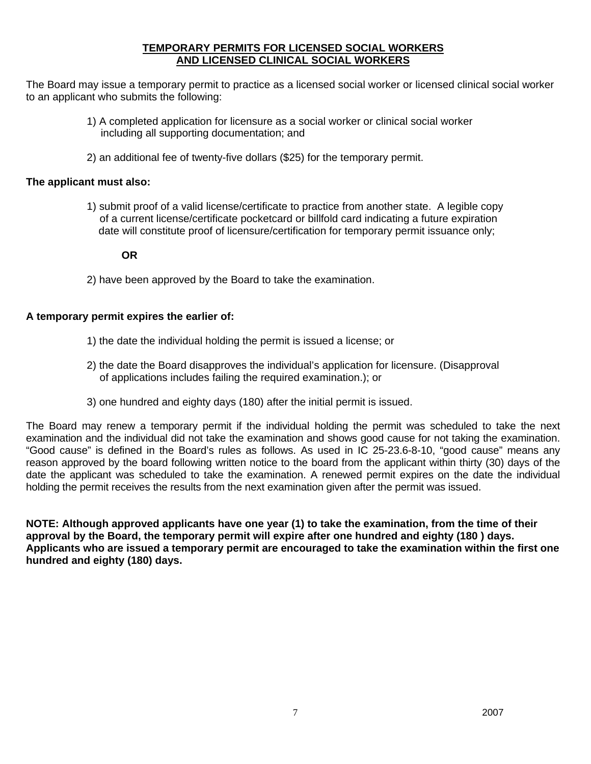## **TEMPORARY PERMITS FOR LICENSED SOCIAL WORKERS AND LICENSED CLINICAL SOCIAL WORKERS**

The Board may issue a temporary permit to practice as a licensed social worker or licensed clinical social worker to an applicant who submits the following:

- 1) A completed application for licensure as a social worker or clinical social worker including all supporting documentation; and
- 2) an additional fee of twenty-five dollars (\$25) for the temporary permit.

### **The applicant must also:**

1) submit proof of a valid license/certificate to practice from another state. A legible copy of a current license/certificate pocketcard or billfold card indicating a future expiration date will constitute proof of licensure/certification for temporary permit issuance only;

### **OR**

2) have been approved by the Board to take the examination.

### **A temporary permit expires the earlier of:**

- 1) the date the individual holding the permit is issued a license; or
- 2) the date the Board disapproves the individual's application for licensure. (Disapproval of applications includes failing the required examination.); or
- 3) one hundred and eighty days (180) after the initial permit is issued.

The Board may renew a temporary permit if the individual holding the permit was scheduled to take the next examination and the individual did not take the examination and shows good cause for not taking the examination. "Good cause" is defined in the Board's rules as follows. As used in IC 25-23.6-8-10, "good cause" means any reason approved by the board following written notice to the board from the applicant within thirty (30) days of the date the applicant was scheduled to take the examination. A renewed permit expires on the date the individual holding the permit receives the results from the next examination given after the permit was issued.

**NOTE: Although approved applicants have one year (1) to take the examination, from the time of their approval by the Board, the temporary permit will expire after one hundred and eighty (180 ) days. Applicants who are issued a temporary permit are encouraged to take the examination within the first one hundred and eighty (180) days.**